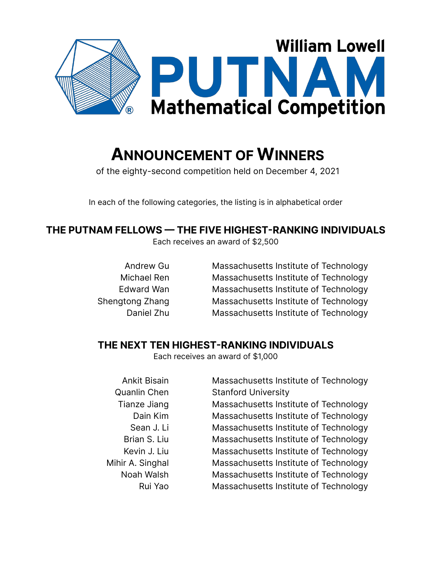

# **ANNOUNCEMENT OF WINNERS**

of the eighty-second competition held on December 4, 2021

In each of the following categories, the listing is in alphabetical order

# **THE PUTNAM FELLOWS — THE FIVE HIGHEST-RANKING INDIVIDUALS**

Each receives an award of \$2,500

Andrew Gu Michael Ren Edward Wan Shengtong Zhang Daniel Zhu

Massachusetts Institute of Technology Massachusetts Institute of Technology Massachusetts Institute of Technology Massachusetts Institute of Technology Massachusetts Institute of Technology

# **THE NEXT TEN HIGHEST-RANKING INDIVIDUALS**

Each receives an award of \$1,000

Ankit Bisain Quanlin Chen Tianze Jiang Dain Kim Sean J. Li Brian S. Liu Kevin J. Liu Mihir A. Singhal Noah Walsh Rui Yao

Massachusetts Institute of Technology Stanford University Massachusetts Institute of Technology Massachusetts Institute of Technology Massachusetts Institute of Technology Massachusetts Institute of Technology Massachusetts Institute of Technology Massachusetts Institute of Technology Massachusetts Institute of Technology Massachusetts Institute of Technology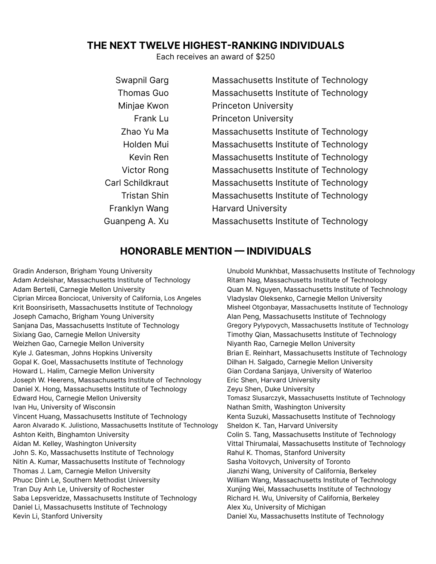#### **THE NEXT TWELVE HIGHEST-RANKING INDIVIDUALS**

Each receives an award of \$250

| Swapnil Garg            | Massachusetts Institute of Technology |
|-------------------------|---------------------------------------|
| <b>Thomas Guo</b>       | Massachusetts Institute of Technology |
| Minjae Kwon             | <b>Princeton University</b>           |
| Frank Lu                | <b>Princeton University</b>           |
| Zhao Yu Ma              | Massachusetts Institute of Technology |
| Holden Mui              | Massachusetts Institute of Technology |
| Kevin Ren               | Massachusetts Institute of Technology |
| Victor Rong             | Massachusetts Institute of Technology |
| <b>Carl Schildkraut</b> | Massachusetts Institute of Technology |
| <b>Tristan Shin</b>     | Massachusetts Institute of Technology |
| Franklyn Wang           | <b>Harvard University</b>             |
| Guanpeng A. Xu          | Massachusetts Institute of Technology |

#### **HONORABLE MENTION — INDIVIDUALS**

Gradin Anderson, Brigham Young University Adam Ardeishar, Massachusetts Institute of Technology Adam Bertelli, Carnegie Mellon University Ciprian Mircea Bonciocat, University of California, Los Angeles Krit Boonsiriseth, Massachusetts Institute of Technology Joseph Camacho, Brigham Young University Sanjana Das, Massachusetts Institute of Technology Sixiang Gao, Carnegie Mellon University Weizhen Gao, Carnegie Mellon University Kyle J. Gatesman, Johns Hopkins University Gopal K. Goel, Massachusetts Institute of Technology Howard L. Halim, Carnegie Mellon University Joseph W. Heerens, Massachusetts Institute of Technology Daniel X. Hong, Massachusetts Institute of Technology Edward Hou, Carnegie Mellon University Ivan Hu, University of Wisconsin Vincent Huang, Massachusetts Institute of Technology Aaron Alvarado K. Julistiono, Massachusetts Institute of Technology Ashton Keith, Binghamton University Aidan M. Kelley, Washington University John S. Ko, Massachusetts Institute of Technology Nitin A. Kumar, Massachusetts Institute of Technology Thomas J. Lam, Carnegie Mellon University Phuoc Dinh Le, Southern Methodist University Tran Duy Anh Le, University of Rochester Saba Lepsveridze, Massachusetts Institute of Technology Daniel Li, Massachusetts Institute of Technology Kevin Li, Stanford University

Unubold Munkhbat, Massachusetts Institute of Technology Ritam Nag, Massachusetts Institute of Technology Quan M. Nguyen, Massachusetts Institute of Technology Vladyslav Oleksenko, Carnegie Mellon University Misheel Otgonbayar, Massachusetts Institute of Technology Alan Peng, Massachusetts Institute of Technology Gregory Pylypovych, Massachusetts Institute of Technology Timothy Qian, Massachusetts Institute of Technology Niyanth Rao, Carnegie Mellon University Brian E. Reinhart, Massachusetts Institute of Technology Dilhan H. Salgado, Carnegie Mellon University Gian Cordana Sanjaya, University of Waterloo Eric Shen, Harvard University Zeyu Shen, Duke University Tomasz Slusarczyk, Massachusetts Institute of Technology Nathan Smith, Washington University Kenta Suzuki, Massachusetts Institute of Technology Sheldon K. Tan, Harvard University Colin S. Tang, Massachusetts Institute of Technology Vittal Thirumalai, Massachusetts Institute of Technology Rahul K. Thomas, Stanford University Sasha Voitovych, University of Toronto Jianzhi Wang, University of California, Berkeley William Wang, Massachusetts Institute of Technology Xunjing Wei, Massachusetts Institute of Technology Richard H. Wu, University of California, Berkeley Alex Xu, University of Michigan Daniel Xu, Massachusetts Institute of Technology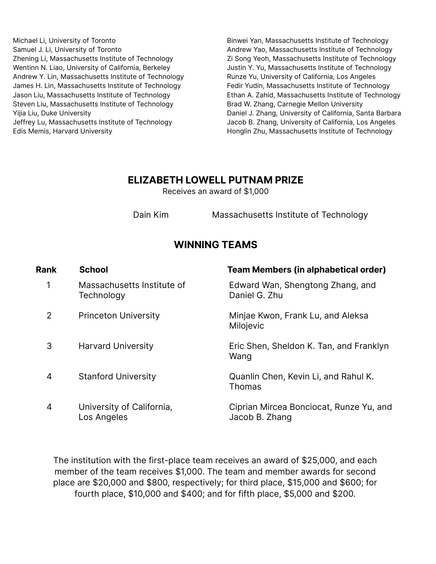Michael Li, University of Toronto Samuel J. Li, University of Toronto Zhening Li, Massachusetts Institute of Technology Wentinn N. Liao, University of California, Berkeley Andrew Y. Lin, Massachusetts Institute of Technology James H. Lin, Massachusetts Institute of Technology Jason Liu, Massachusetts Institute of Technology Steven Liu, Massachusetts Institute of Technology Yijia Liu, Duke University Jeffrey Lu, Massachusetts Institute of Technology Edis Memis, Harvard University

Binwei Yan, Massachusetts Institute of Technology Andrew Yao, Massachusetts Institute of Technology Zi Song Yeoh, Massachusetts Institute of Technology Justin Y. Yu, Massachusetts Institute of Technology Runze Yu, University of California, Los Angeles Fedir Yudin, Massachusetts Institute of Technology Ethan A. Zahid, Massachusetts Institute of Technology Brad W. Zhang, Carnegie Mellon University Daniel J. Zhang, University of California, Santa Barbara Jacob B. Zhang, University of California, Los Angeles Honglin Zhu, Massachusetts Institute of Technology

#### **ELIZABETH LOWELL PUTNAM PRIZE**

Receives an award of \$1,000

Dain Kim Massachusetts Institute of Technology

# **WINNING TEAMS**

| <b>School</b>                            | <b>Team Members (in alphabetical order)</b>               |
|------------------------------------------|-----------------------------------------------------------|
| Massachusetts Institute of<br>Technology | Edward Wan, Shengtong Zhang, and<br>Daniel G. Zhu         |
| <b>Princeton University</b>              | Minjae Kwon, Frank Lu, and Aleksa<br>Milojevic            |
| <b>Harvard University</b>                | Eric Shen, Sheldon K. Tan, and Franklyn<br>Wang           |
| <b>Stanford University</b>               | Quanlin Chen, Kevin Li, and Rahul K.<br><b>Thomas</b>     |
| University of California,<br>Los Angeles | Ciprian Mircea Bonciocat, Runze Yu, and<br>Jacob B. Zhang |
|                                          |                                                           |

The institution with the first-place team receives an award of \$25,000, and each member of the team receives \$1,000. The team and member awards for second place are \$20,000 and \$800, respectively; for third place, \$15,000 and \$600; for fourth place, \$10,000 and \$400; and for fifth place, \$5,000 and \$200.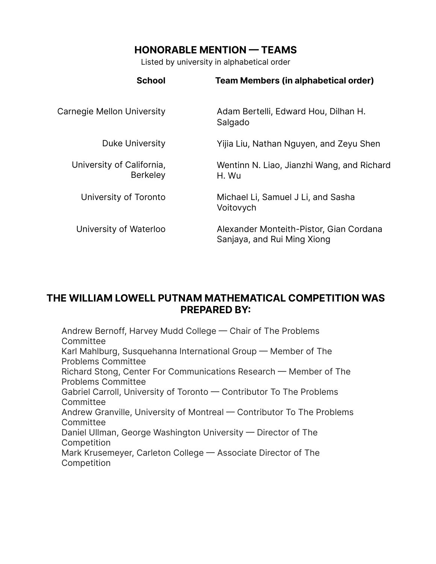# **HONORABLE MENTION — TEAMS**

Listed by university in alphabetical order

| <b>School</b>                                | <b>Team Members (in alphabetical order)</b>                            |
|----------------------------------------------|------------------------------------------------------------------------|
| Carnegie Mellon University                   | Adam Bertelli, Edward Hou, Dilhan H.<br>Salgado                        |
| <b>Duke University</b>                       | Yijia Liu, Nathan Nguyen, and Zeyu Shen                                |
| University of California,<br><b>Berkeley</b> | Wentinn N. Liao, Jianzhi Wang, and Richard<br>H. Wu                    |
| University of Toronto                        | Michael Li, Samuel J Li, and Sasha<br>Voitovych                        |
| University of Waterloo                       | Alexander Monteith-Pistor, Gian Cordana<br>Sanjaya, and Rui Ming Xiong |

# **THE WILLIAM LOWELL PUTNAM MATHEMATICAL COMPETITION WAS PREPARED BY:**

Andrew Bernoff, Harvey Mudd College — Chair of The Problems **Committee** Karl Mahlburg, Susquehanna International Group — Member of The Problems Committee Richard Stong, Center For Communications Research — Member of The Problems Committee Gabriel Carroll, University of Toronto — Contributor To The Problems **Committee** Andrew Granville, University of Montreal — Contributor To The Problems **Committee** Daniel Ullman, George Washington University — Director of The Competition Mark Krusemeyer, Carleton College — Associate Director of The Competition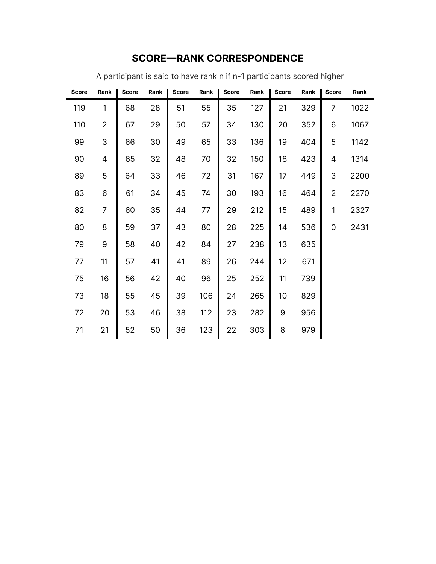| <b>Score</b> | Rank           | <b>Score</b> | Rank | <b>Score</b> | Rank | <b>Score</b> | Rank | <b>Score</b> | Rank | <b>Score</b>   | Rank |
|--------------|----------------|--------------|------|--------------|------|--------------|------|--------------|------|----------------|------|
| 119          | 1              | 68           | 28   | 51           | 55   | 35           | 127  | 21           | 329  | 7              | 1022 |
| 110          | $\overline{2}$ | 67           | 29   | 50           | 57   | 34           | 130  | 20           | 352  | 6              | 1067 |
| 99           | 3              | 66           | 30   | 49           | 65   | 33           | 136  | 19           | 404  | 5              | 1142 |
| 90           | 4              | 65           | 32   | 48           | 70   | 32           | 150  | 18           | 423  | 4              | 1314 |
| 89           | 5              | 64           | 33   | 46           | 72   | 31           | 167  | 17           | 449  | 3              | 2200 |
| 83           | 6              | 61           | 34   | 45           | 74   | 30           | 193  | 16           | 464  | $\overline{2}$ | 2270 |
| 82           | $\overline{7}$ | 60           | 35   | 44           | 77   | 29           | 212  | 15           | 489  | 1              | 2327 |
| 80           | 8              | 59           | 37   | 43           | 80   | 28           | 225  | 14           | 536  | 0              | 2431 |
| 79           | 9              | 58           | 40   | 42           | 84   | 27           | 238  | 13           | 635  |                |      |
| 77           | 11             | 57           | 41   | 41           | 89   | 26           | 244  | 12           | 671  |                |      |
| 75           | 16             | 56           | 42   | 40           | 96   | 25           | 252  | 11           | 739  |                |      |
| 73           | 18             | 55           | 45   | 39           | 106  | 24           | 265  | 10           | 829  |                |      |
| 72           | 20             | 53           | 46   | 38           | 112  | 23           | 282  | 9            | 956  |                |      |
| 71           | 21             | 52           | 50   | 36           | 123  | 22           | 303  | 8            | 979  |                |      |

# **SCORE—RANK CORRESPONDENCE**

A participant is said to have rank n if n-1 participants scored higher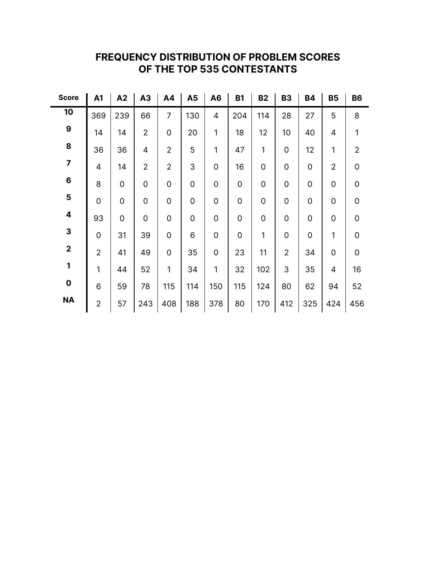| <b>Score</b>            | A1             | A2  | A3             | A4                  | A <sub>5</sub> | A <sub>6</sub> | <b>B1</b>   | <b>B2</b>           | <b>B3</b>           | <b>B4</b>   | <b>B5</b>           | <b>B6</b>           |
|-------------------------|----------------|-----|----------------|---------------------|----------------|----------------|-------------|---------------------|---------------------|-------------|---------------------|---------------------|
| 10                      | 369            | 239 | 66             | 7                   | 130            | 4              | 204         | 114                 | 28                  | 27          | 5                   | 8                   |
| $\boldsymbol{9}$        | 14             | 14  | $\overline{2}$ | 0                   | 20             | 1              | 18          | 12                  | 10                  | 40          | 4                   | 1                   |
| 8                       | 36             | 36  | $\overline{4}$ | $\overline{2}$      | 5              | 1              | 47          | 1                   | $\mathsf{O}\xspace$ | 12          | 1                   | $\sqrt{2}$          |
| $\overline{\mathbf{z}}$ | $\overline{4}$ | 14  | $\overline{2}$ | $\overline{2}$      | 3              | 0              | 16          | $\mathsf{O}\xspace$ | $\mathbf 0$         | $\mathbf 0$ | $\overline{2}$      | $\mathsf{O}\xspace$ |
| $\bf 6$                 | 8              | 0   | $\mathbf 0$    | 0                   | $\mathbf 0$    | 0              | $\mathbf 0$ | $\mathsf{O}\xspace$ | $\mathbf 0$         | $\mathbf 0$ | 0                   | $\mathsf{O}\xspace$ |
| 5                       | $\overline{0}$ | 0   | $\mathbf 0$    | 0                   | $\mathbf 0$    | 0              | $\mathbf 0$ | $\mathsf{O}\xspace$ | $\mathbf 0$         | $\mathbf 0$ | 0                   | $\mathsf{O}\xspace$ |
| $\overline{\mathbf{4}}$ | 93             | 0   | $\mathbf 0$    | $\mathsf{O}\xspace$ | $\mathbf 0$    | 0              | $\mathbf 0$ | $\mathsf{O}\xspace$ | $\mathbf 0$         | $\mathbf 0$ | $\mathsf{O}\xspace$ | $\mathbf 0$         |
| 3                       | $\mathbf 0$    | 31  | 39             | $\mathsf{O}\xspace$ | 6              | 0              | $\mathbf 0$ | 1                   | $\mathsf{O}\xspace$ | $\mathbf 0$ | 1                   | $\mathsf{O}\xspace$ |
| $\mathbf 2$             | $\overline{2}$ | 41  | 49             | $\mathsf{O}\xspace$ | 35             | 0              | 23          | 11                  | $\overline{2}$      | 34          | $\mathsf{O}\xspace$ | $\mathbf 0$         |
| 1                       | 1              | 44  | 52             | 1                   | 34             | 1              | 32          | 102                 | 3                   | 35          | 4                   | 16                  |
| $\mathbf 0$             | 6              | 59  | 78             | 115                 | 114            | 150            | 115         | 124                 | 80                  | 62          | 94                  | 52                  |
| <b>NA</b>               | $\overline{2}$ | 57  | 243            | 408                 | 188            | 378            | 80          | 170                 | 412                 | 325         | 424                 | 456                 |

# **FREQUENCY DISTRIBUTION OF PROBLEM SCORES OF THE TOP 535 CONTESTANTS**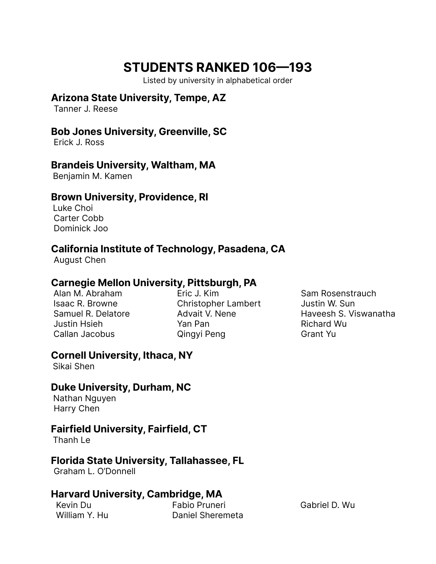# **STUDENTS RANKED 106—193**

Listed by university in alphabetical order

#### **Arizona State University, Tempe, AZ**

Tanner J. Reese

#### **Bob Jones University, Greenville, SC**

Erick J. Ross

#### **Brandeis University, Waltham, MA**

Benjamin M. Kamen

#### **Brown University, Providence, RI**

Luke Choi Carter Cobb Dominick Joo

# **California Institute of Technology, Pasadena, CA**

August Chen

# **Carnegie Mellon University, Pittsburgh, PA**

Alan M. Abraham Isaac R. Browne Samuel R. Delatore Justin Hsieh Callan Jacobus

Eric J. Kim Christopher Lambert Advait V. Nene Yan Pan Qingyi Peng

Sam Rosenstrauch Justin W. Sun Haveesh S. Viswanatha Richard Wu Grant Yu

# **Cornell University, Ithaca, NY**

Sikai Shen

# **Duke University, Durham, NC**

Nathan Nguyen Harry Chen

# **Fairfield University, Fairfield, CT**

Thanh Le

# **Florida State University, Tallahassee, FL**

Graham L. O'Donnell

# **Harvard University, Cambridge, MA**

Kevin Du Fabio Pruneri Gabriel D. Wu Daniel Sheremeta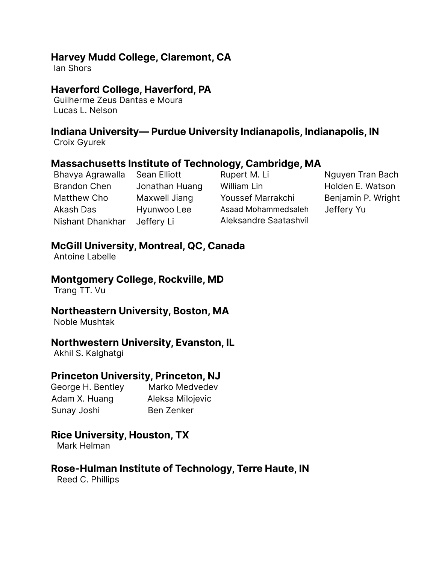#### **Harvey Mudd College, Claremont, CA**

Ian Shors

# **Haverford College, Haverford, PA**

Guilherme Zeus Dantas e Moura Lucas L. Nelson

# **Indiana University— Purdue University Indianapolis, Indianapolis, IN**

Croix Gyurek

#### **Massachusetts Institute of Technology, Cambridge, MA**

Bhavya Agrawalla Brandon Chen Matthew Cho Akash Das Nishant Dhankhar

Jonathan Huang Maxwell Jiang Hyunwoo Lee Jeffery Li

Sean Elliott

Rupert M. Li William Lin Youssef Marrakchi Asaad Mohammedsaleh Aleksandre Saatashvil

Nguyen Tran Bach Holden E. Watson Benjamin P. Wright Jeffery Yu

# **McGill University, Montreal, QC, Canada**

Antoine Labelle

#### **Montgomery College, Rockville, MD**

Trang TT. Vu

#### **Northeastern University, Boston, MA**

Noble Mushtak

# **Northwestern University, Evanston, IL**

Akhil S. Kalghatgi

#### **Princeton University, Princeton, NJ**

George H. Bentley Marko Medvedev Adam X. Huang Aleksa Milojevic Sunay Joshi Ben Zenker

# **Rice University, Houston, TX**

Mark Helman

# **Rose-Hulman Institute of Technology, Terre Haute, IN**

Reed C. Phillips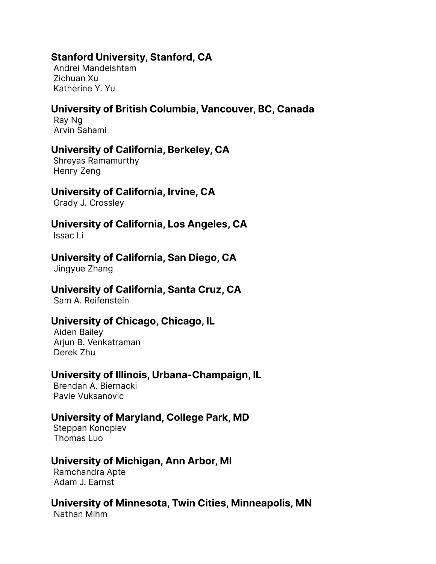#### **Stanford University, Stanford, CA**

Andrei Mandelshtam Zichuan Xu Katherine Y. Yu

# **University of British Columbia, Vancouver, BC, Canada**

Ray Ng Arvin Sahami

#### **University of California, Berkeley, CA**

Shreyas Ramamurthy Henry Zeng

# **University of California, Irvine, CA**

Grady J. Crossley

# **University of California, Los Angeles, CA**

Issac Li

#### **University of California, San Diego, CA**

Jingyue Zhang

#### **University of California, Santa Cruz, CA**

Sam A. Reifenstein

#### **University of Chicago, Chicago, IL**

Aiden Bailey Ariun B. Venkatraman Derek Zhu

#### **University of Illinois, Urbana-Champaign, IL**

Brendan A. Biernacki Pavle Vuksanovic

#### **University of Maryland, College Park, MD**

Steppan Konoplev Thomas Luo

# **University of Michigan, Ann Arbor, MI**

Ramchandra Apte Adam J. Earnst

#### **University of Minnesota, Twin Cities, Minneapolis, MN**

Nathan Mihm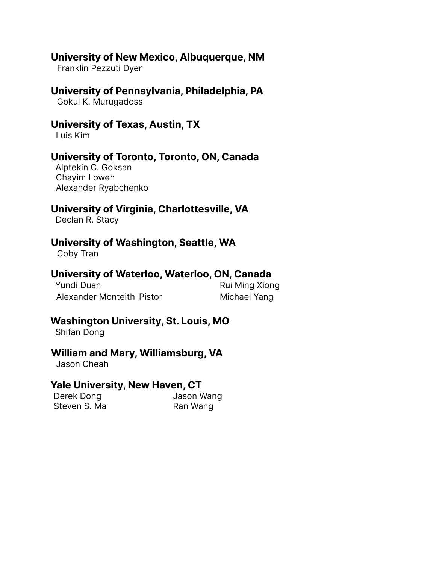#### **University of New Mexico, Albuquerque, NM**

Franklin Pezzuti Dyer

#### **University of Pennsylvania, Philadelphia, PA**

Gokul K. Murugadoss

#### **University of Texas, Austin, TX**

Luis Kim

#### **University of Toronto, Toronto, ON, Canada**

Alptekin C. Goksan Chayim Lowen Alexander Ryabchenko

# **University of Virginia, Charlottesville, VA**

Declan R. Stacy

#### **University of Washington, Seattle, WA**

Coby Tran

# **University of Waterloo, Waterloo, ON, Canada**

| Yundi Duan                | Rui Ming Xiong |
|---------------------------|----------------|
| Alexander Monteith-Pistor | Michael Yang   |

# **Washington University, St. Louis, MO**

Shifan Dong

# **William and Mary, Williamsburg, VA**

Jason Cheah

#### **Yale University, New Haven, CT**

Derek Dong **Jason Wang** Steven S. Ma Ran Wang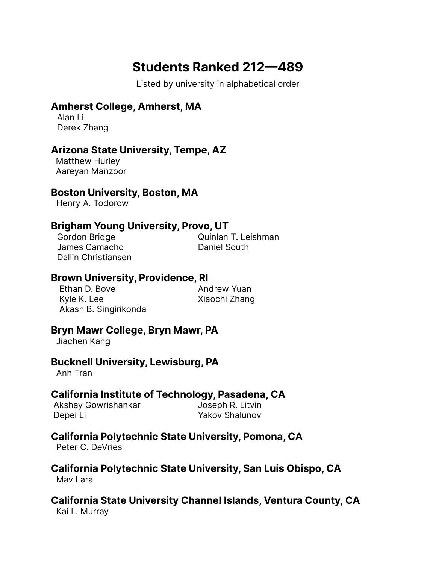# **Students Ranked 212—489**

Listed by university in alphabetical order

# **Amherst College, Amherst, MA**

Alan Li Derek Zhang

# **Arizona State University, Tempe, AZ**

Matthew Hurley Aareyan Manzoor

#### **Boston University, Boston, MA**

Henry A. Todorow

# **Brigham Young University, Provo, UT**

James Camacho **Daniel South** Dallin Christiansen

Gordon Bridge **Constanting Cordon Bridge Constanting Cordon Bridge Constanting Cordon Bridge Cordon Cordon Bridge Cordon Bridge Cordon Bridge Cordon Bridge Cordon Bridge Cordon Bridge Cordon Bridge Cordon Bridge Cordon Bri** 

#### **Brown University, Providence, RI**

Ethan D. Bove **Andrew Yuan** Kyle K. Lee Xiaochi Zhang Akash B. Singirikonda

# **Bryn Mawr College, Bryn Mawr, PA**

Jiachen Kang

#### **Bucknell University, Lewisburg, PA**

Anh Tran

# **California Institute of Technology, Pasadena, CA**

Akshay Gowrishankar **Joseph R. Litvin** Depei Li Yakov Shalunov

# **California Polytechnic State University, Pomona, CA**

Peter C. DeVries

#### **California Polytechnic State University, San Luis Obispo, CA** May Lara

# **California State University Channel Islands, Ventura County, CA**

Kai L. Murray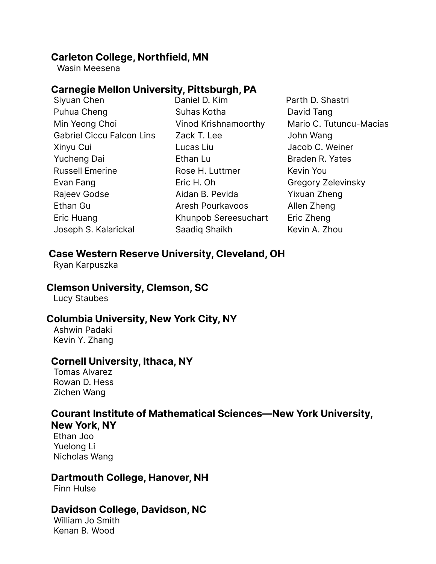#### **Carleton College, Northfield, MN**

Wasin Meesena

#### **Carnegie Mellon University, Pittsburgh, PA**

Siyuan Chen Puhua Cheng Min Yeong Choi Gabriel Ciccu Falcon Lins Xinyu Cui Yucheng Dai Russell Emerine Evan Fang Rajeev Godse Ethan Gu Eric Huang Joseph S. Kalarickal

Daniel D. Kim Suhas Kotha Vinod Krishnamoorthy Zack T. Lee Lucas Liu Ethan Lu Rose H. Luttmer Eric H. Oh Aidan B. Pevida Aresh Pourkavoos Khunpob Sereesuchart Saadiq Shaikh

Parth D. Shastri David Tang Mario C. Tutuncu-Macias John Wang Jacob C. Weiner Braden R. Yates Kevin You Gregory Zelevinsky Yixuan Zheng Allen Zheng Eric Zheng Kevin A. Zhou

#### **Case Western Reserve University, Cleveland, OH**

Ryan Karpuszka

#### **Clemson University, Clemson, SC**

Lucy Staubes

# **Columbia University, New York City, NY**

Ashwin Padaki Kevin Y. Zhang

#### **Cornell University, Ithaca, NY**

Tomas Alvarez Rowan D. Hess Zichen Wang

#### **Courant Institute of Mathematical Sciences—New York University, New York, NY**

Ethan Joo Yuelong Li Nicholas Wang

#### **Dartmouth College, Hanover, NH**

Finn Hulse

#### **Davidson College, Davidson, NC**

William Jo Smith Kenan B. Wood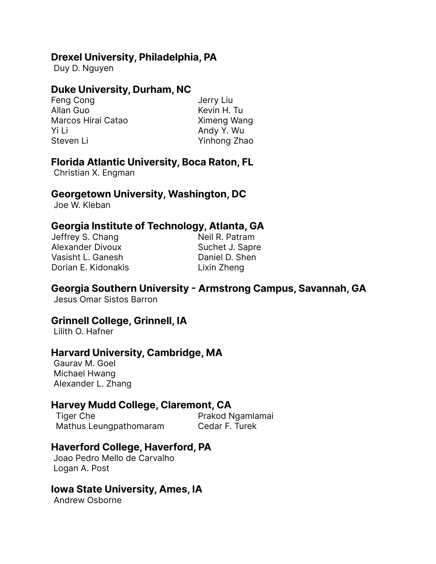#### **Drexel University, Philadelphia, PA**

Duy D. Nguyen

# **Duke University, Durham, NC**

Feng Cong and Terry Liu Allan Guo **Kevin H. Tu** Marcos Hirai Catao Ximeng Wang Yi Li Andy Y. Wu Steven Li Yinhong Zhao

# **Florida Atlantic University, Boca Raton, FL**

Christian X. Engman

#### **Georgetown University, Washington, DC**

Joe W. Kleban

# **Georgia Institute of Technology, Atlanta, GA**

| Jeffrey S. Chang        | Neil R. Patram  |
|-------------------------|-----------------|
| <b>Alexander Divoux</b> | Suchet J. Sapre |
| Vasisht L. Ganesh       | Daniel D. Shen  |
| Dorian E. Kidonakis     | Lixin Zheng     |
|                         |                 |

# **Georgia Southern University - Armstrong Campus, Savannah, GA**

Jesus Omar Sistos Barron

# **Grinnell College, Grinnell, IA**

Lilith O. Hafner

#### **Harvard University, Cambridge, MA**

Gaurav M. Goel Michael Hwang Alexander L. Zhang

# **Harvey Mudd College, Claremont, CA**

Tiger Che **Prakod Ngamlamai** Mathus Leungpathomaram Cedar F. Turek

# **Haverford College, Haverford, PA**

Joao Pedro Mello de Carvalho Logan A. Post

# **Iowa State University, Ames, IA**

Andrew Osborne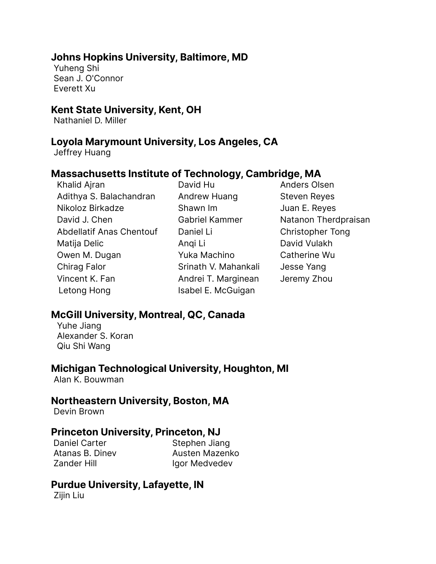#### **Johns Hopkins University, Baltimore, MD**

Yuheng Shi Sean J. O'Connor Everett Xu

#### **Kent State University, Kent, OH**

Nathaniel D. Miller

#### **Loyola Marymount University, Los Angeles, CA**

Jeffrey Huang

# **Massachusetts Institute of Technology, Cambridge, MA**

Khalid Ajran Adithya S. Balachandran Nikoloz Birkadze David J. Chen Abdellatif Anas Chentouf Matija Delic Owen M. Dugan Chirag Falor Vincent K. Fan Letong Hong

David Hu Andrew Huang Shawn Im Gabriel Kammer Daniel Li Anqi Li Yuka Machino Srinath V. Mahankali Andrei T. Marginean Isabel E. McGuigan

Anders Olsen Steven Reyes Juan E. Reyes Natanon Therdpraisan Christopher Tong David Vulakh Catherine Wu Jesse Yang Jeremy Zhou

# **McGill University, Montreal, QC, Canada**

Yuhe Jiang Alexander S. Koran Qiu Shi Wang

#### **Michigan Technological University, Houghton, MI**

Alan K. Bouwman

#### **Northeastern University, Boston, MA**

Devin Brown

#### **Princeton University, Princeton, NJ**

Daniel Carter Stephen Jiang

Atanas B. Diney **Austen Mazenko** Zander Hill **Igor Medvedev** 

# **Purdue University, Lafayette, IN**

Zijin Liu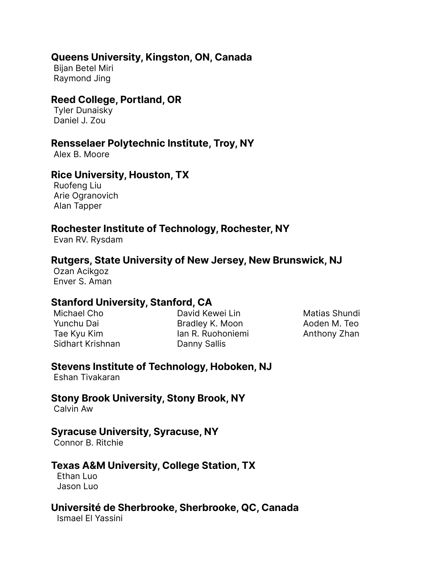#### **Queens University, Kingston, ON, Canada**

Bijan Betel Miri Raymond Jing

# **Reed College, Portland, OR**

Tyler Dunaisky Daniel J. Zou

#### **Rensselaer Polytechnic Institute, Troy, NY**

Alex B. Moore

# **Rice University, Houston, TX**

Ruofeng Liu Arie Ogranovich Alan Tapper

#### **Rochester Institute of Technology, Rochester, NY**

Evan RV. Rysdam

#### **Rutgers, State University of New Jersey, New Brunswick, NJ**

Ozan Acikgoz Enver S. Aman

# **Stanford University, Stanford, CA**

Michael Cho Yunchu Dai Tae Kyu Kim Sidhart Krishnan

David Kewei Lin Bradley K. Moon Ian R. Ruohoniemi Danny Sallis

Matias Shundi Aoden M. Teo Anthony Zhan

# **Stevens Institute of Technology, Hoboken, NJ**

Eshan Tivakaran

# **Stony Brook University, Stony Brook, NY**

Calvin Aw

#### **Syracuse University, Syracuse, NY**

Connor B. Ritchie

#### **Texas A&M University, College Station, TX**

Ethan Luo Jason Luo

#### **Université de Sherbrooke, Sherbrooke, QC, Canada**

Ismael El Yassini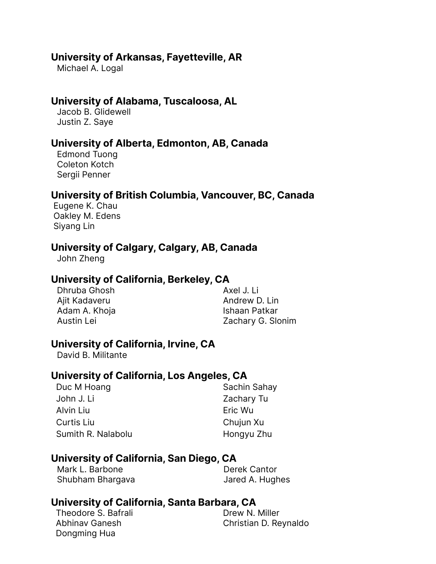#### **University of Arkansas, Fayetteville, AR**

Michael A. Logal

#### **University of Alabama, Tuscaloosa, AL**

Jacob B. Glidewell Justin Z. Saye

#### **University of Alberta, Edmonton, AB, Canada**

Edmond Tuong Coleton Kotch Sergii Penner

#### **University of British Columbia, Vancouver, BC, Canada**

Eugene K. Chau Oakley M. Edens Siyang Lin

#### **University of Calgary, Calgary, AB, Canada**

John Zheng

#### **University of California, Berkeley, CA**

Dhruba Ghosh Ajit Kadaveru Adam A. Khoja Austin Lei

Axel J. Li Andrew D. Lin Ishaan Patkar Zachary G. Slonim

#### **University of California, Irvine, CA**

David B. Militante

#### **University of California, Los Angeles, CA**

| Sachin Sahay |
|--------------|
| Zachary Tu   |
| Eric Wu      |
| Chujun Xu    |
| Hongyu Zhu   |
|              |

#### **University of California, San Diego, CA**

Mark L. Barbone **Derek Cantor** Shubham Bhargava **Jared A. Hughes** 

#### **University of California, Santa Barbara, CA**

Theodore S. Bafrali Abhinav Ganesh Dongming Hua

Drew N. Miller Christian D. Reynaldo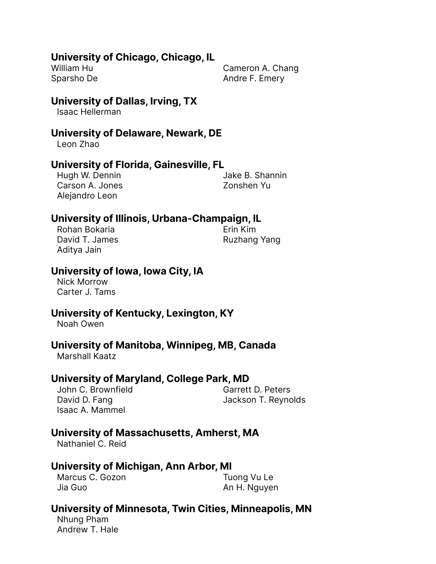#### **University of Chicago, Chicago, IL**

William Hu Sparsho De Cameron A. Chang Andre F. Emery

#### **University of Dallas, Irving, TX**

Isaac Hellerman

#### **University of Delaware, Newark, DE**

Leon Zhao

#### **University of Florida, Gainesville, FL**

Hugh W. Dennin Carson A. Jones Alejandro Leon

Jake B. Shannin Zonshen Yu

#### **University of Illinois, Urbana-Champaign, IL**

Rohan Bokaria David T. James Aditya Jain

Erin Kim Ruzhang Yang

#### **University of Iowa, Iowa City, IA**

Nick Morrow Carter J. Tams

#### **University of Kentucky, Lexington, KY**

Noah Owen

#### **University of Manitoba, Winnipeg, MB, Canada**

Marshall Kaatz

#### **University of Maryland, College Park, MD**

John C. Brownfield David D. Fang Isaac A. Mammel

Garrett D. Peters Jackson T. Reynolds

# **University of Massachusetts, Amherst, MA**

Nathaniel C. Reid

#### **University of Michigan, Ann Arbor, MI**

Marcus C. Gozon Jia Guo

Tuong Vu Le An H. Nguyen

# **University of Minnesota, Twin Cities, Minneapolis, MN**

Nhung Pham Andrew T. Hale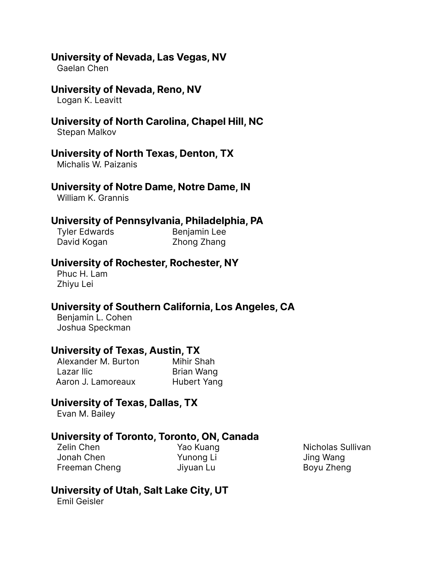#### **University of Nevada, Las Vegas, NV**

Gaelan Chen

#### **University of Nevada, Reno, NV**

Logan K. Leavitt

# **University of North Carolina, Chapel Hill, NC**

Stepan Malkov

#### **University of North Texas, Denton, TX**

Michalis W. Paizanis

# **University of Notre Dame, Notre Dame, IN**

William K. Grannis

#### **University of Pennsylvania, Philadelphia, PA**

David Kogan Zhong Zhang

Tyler Edwards Benjamin Lee

#### **University of Rochester, Rochester, NY**

Phuc H. Lam Zhiyu Lei

# **University of Southern California, Los Angeles, CA**

Benjamin L. Cohen Joshua Speckman

# **University of Texas, Austin, TX**

Alexander M. Burton Mihir Shah Lazar Ilic **Brian Wang** Aaron J. Lamoreaux Hubert Yang

# **University of Texas, Dallas, TX**

Evan M. Bailey

# **University of Toronto, Toronto, ON, Canada**

Zelin Chen Jonah Chen Freeman Cheng

Yao Kuang Yunong Li Jiyuan Lu

Nicholas Sullivan Jing Wang Boyu Zheng

# **University of Utah, Salt Lake City, UT**

Emil Geisler